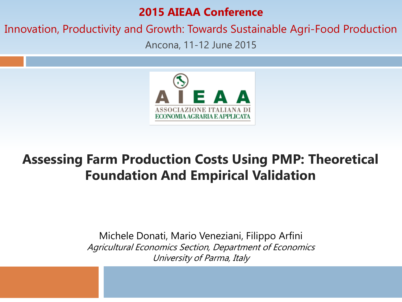### **2015 AIEAA Conference**

### Innovation, Productivity and Growth: Towards Sustainable Agri-Food Production

Ancona, 11-12 June 2015



### **Assessing Farm Production Costs Using PMP: Theoretical Foundation And Empirical Validation**

Michele Donati, Mario Veneziani, Filippo Arfini Agricultural Economics Section, Department of Economics University of Parma, Italy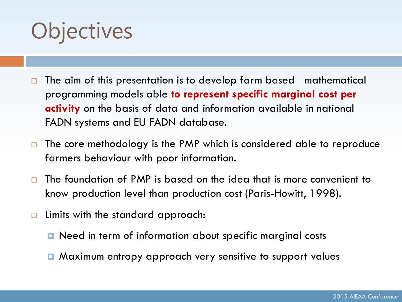# **Objectives**

- $\Box$  The aim of this presentation is to develop farm based mathematical programming models able **to represent specific marginal cost per activity** on the basis of data and information available in national FADN systems and EU FADN database.
- $\Box$  The core methodology is the PMP which is considered able to reproduce farmers behaviour with poor information.
- $\Box$  The foundation of PMP is based on the idea that is more convenient to know production level than production cost (Paris-Howitt, 1998).
- $\Box$  Limits with the standard approach:
	- Need in term of information about specific marginal costs
	- Maximum entropy approach very sensitive to support values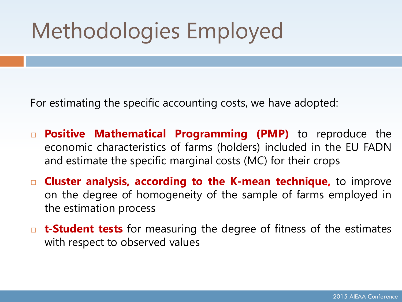# Methodologies Employed

For estimating the specific accounting costs, we have adopted:

- **Positive Mathematical Programming (PMP)** to reproduce the economic characteristics of farms (holders) included in the EU FADN and estimate the specific marginal costs (MC) for their crops
- **Cluster analysis, according to the K-mean technique,** to improve on the degree of homogeneity of the sample of farms employed in the estimation process
- **t-Student tests** for measuring the degree of fitness of the estimates with respect to observed values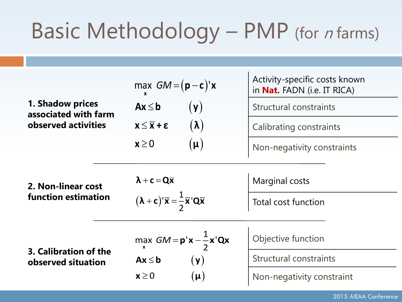### Basic Methodology – PMP (for *n* farms)

|                                                  | max $GM = (p - c)'x$                                                                                      | Activity-specific costs known<br>in <b>Nat.</b> FADN (i.e. IT RICA) |
|--------------------------------------------------|-----------------------------------------------------------------------------------------------------------|---------------------------------------------------------------------|
| <b>1. Shadow prices</b><br>associated with farm  | $(\mathbf{y})$<br>$Ax \leq b$                                                                             | Structural constraints                                              |
| observed activities                              | $(\lambda)$<br>$x \leq \overline{x} + \epsilon$                                                           | Calibrating constraints                                             |
|                                                  | $(\mu)$<br>$x \geq 0$                                                                                     | Non-negativity constraints                                          |
| 2. Non-linear cost<br><b>function estimation</b> | $\lambda + c = Q\overline{x}$<br>$(\lambda + c)' \overline{x} = \frac{1}{2} \overline{x}' Q \overline{x}$ | <b>Marginal costs</b><br>Total cost function                        |
| 3. Calibration of the                            | max $GM = p'x - \frac{1}{2}x'Qx$                                                                          | Objective function                                                  |
| observed situation                               | $Ax \leq b$<br>$(\mathbf{y})$<br>$x \geq 0$<br>$(\mu)$                                                    | <b>Structural constraints</b><br>Non-negativity constraint          |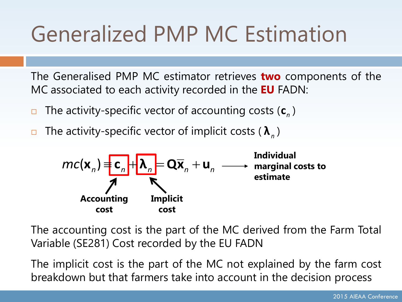# Generalized PMP MC Estimation

The Generalised PMP MC estimator retrieves **two** components of the MC associated to each activity recorded in the **EU** FADN:

- $\blacksquare$  The activity-specific vector of accounting costs ( $\mathsf{c}\xspace_{\scriptscriptstyle{n}}$ )
- □ The activity-specific vector of implicit costs (  $\boldsymbol{\lambda}_n$  )



The accounting cost is the part of the MC derived from the Farm Total Variable (SE281) Cost recorded by the EU FADN

The implicit cost is the part of the MC not explained by the farm cost breakdown but that farmers take into account in the decision process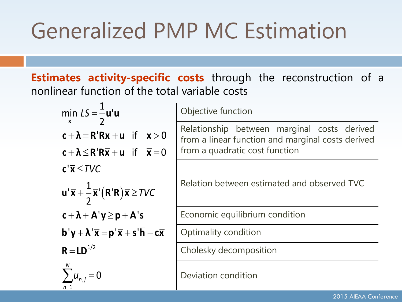## Generalized PMP MC Estimation

**Estimates activity-specific costs** through the reconstruction of a nonlinear function of the total variable costs

| min $LS = \frac{1}{2}$ u'u                                                                                               | Objective function                                                                                                                 |
|--------------------------------------------------------------------------------------------------------------------------|------------------------------------------------------------------------------------------------------------------------------------|
| $c + \lambda = R'R\overline{x} + u$ if $\overline{x} > 0$<br>$c + \lambda \le R'R\overline{x} + u$ if $\overline{x} = 0$ | Relationship between marginal costs derived<br>from a linear function and marginal costs derived<br>from a quadratic cost function |
| $c' \overline{x} \leq TVC$<br>$u' \overline{x} + \frac{1}{2} \overline{x}'(R'R) \overline{x} \geq TVC$                   | Relation between estimated and observed TVC                                                                                        |
| $c + \lambda + A' y \ge p + A' s$                                                                                        | Economic equilibrium condition                                                                                                     |
| $b'y + \lambda' \overline{x} = p' \overline{x} + s' \overline{h} - c \overline{x}$                                       | Optimality condition                                                                                                               |
| $R = LD^{1/2}$                                                                                                           | Cholesky decomposition                                                                                                             |
| $\sum u_{n,j}=0$                                                                                                         | Deviation condition                                                                                                                |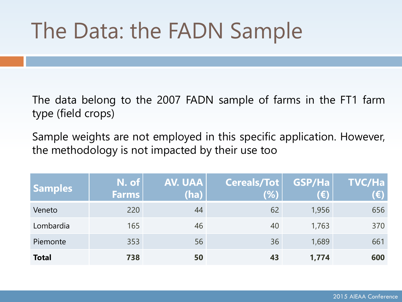## The Data: the FADN Sample

The data belong to the 2007 FADN sample of farms in the FT1 farm type (field crops)

Sample weights are not employed in this specific application. However, the methodology is not impacted by their use too

| <b>Samples</b> | N. of<br><b>Farms</b> | AV. UAA<br>(ha) | <b>Cereals/Tot</b><br>(%) | GSP/Ha<br>(€) | <b>TVC/Ha</b><br>(€) |
|----------------|-----------------------|-----------------|---------------------------|---------------|----------------------|
| Veneto         | 220                   | 44              | 62                        | 1,956         | 656                  |
| Lombardia      | 165                   | 46              | 40                        | 1,763         | 370                  |
| Piemonte       | 353                   | 56              | 36                        | 1,689         | 661                  |
| <b>Total</b>   | 738                   | 50              | 43                        | 1,774         | 600                  |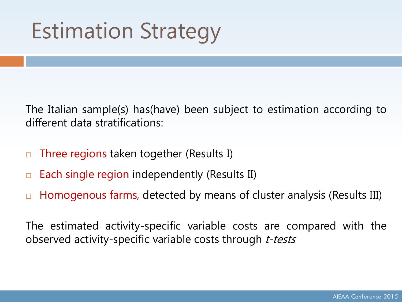# Estimation Strategy

The Italian sample(s) has(have) been subject to estimation according to different data stratifications:

- $\Box$  Three regions taken together (Results I)
- $\Box$  Each single region independently (Results II)
- □ Homogenous farms, detected by means of cluster analysis (Results III)

The estimated activity-specific variable costs are compared with the observed activity-specific variable costs through t-tests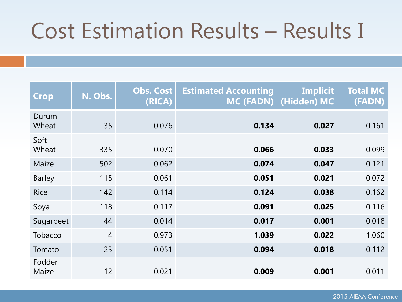## Cost Estimation Results – Results I

| Crop            | N. Obs.        | <b>Obs. Cost</b><br>(RICA) | <b>Estimated Accounting</b><br>$MC$ (FADN) | <b>Implicit</b><br>(Hidden) MC | <b>Total MC</b><br>(FADN) |
|-----------------|----------------|----------------------------|--------------------------------------------|--------------------------------|---------------------------|
| Durum<br>Wheat  | 35             | 0.076                      | 0.134                                      | 0.027                          | 0.161                     |
| Soft<br>Wheat   | 335            | 0.070                      | 0.066                                      | 0.033                          | 0.099                     |
| Maize           | 502            | 0.062                      | 0.074                                      | 0.047                          | 0.121                     |
| <b>Barley</b>   | 115            | 0.061                      | 0.051                                      | 0.021                          | 0.072                     |
| <b>Rice</b>     | 142            | 0.114                      | 0.124                                      | 0.038                          | 0.162                     |
| Soya            | 118            | 0.117                      | 0.091                                      | 0.025                          | 0.116                     |
| Sugarbeet       | 44             | 0.014                      | 0.017                                      | 0.001                          | 0.018                     |
| Tobacco         | $\overline{4}$ | 0.973                      | 1.039                                      | 0.022                          | 1.060                     |
| Tomato          | 23             | 0.051                      | 0.094                                      | 0.018                          | 0.112                     |
| Fodder<br>Maize | 12             | 0.021                      | 0.009                                      | 0.001                          | 0.011                     |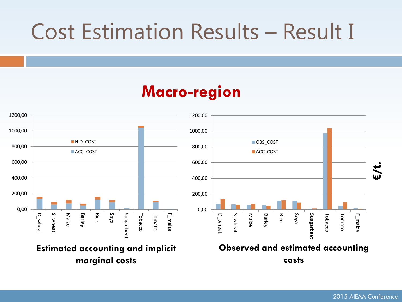### Cost Estimation Results – Result I

### **Macro-region**



**Estimated accounting and implicit marginal costs**



#### **Observed and estimated accounting costs**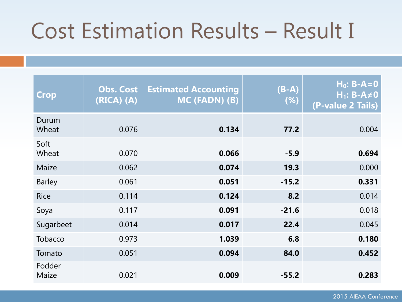## Cost Estimation Results – Result I

| <b>Crop</b>     | <b>Obs. Cost</b><br>$(RICA)$ $(A)$ | <b>Estimated Accounting</b><br>MC (FADN) (B) | $(B-A)$<br>(%) | $H_0: B-A=0$<br>$H_1$ : B-A $\neq$ 0<br>(P-value 2 Tails) |
|-----------------|------------------------------------|----------------------------------------------|----------------|-----------------------------------------------------------|
| Durum<br>Wheat  | 0.076                              | 0.134                                        | 77.2           | 0.004                                                     |
| Soft<br>Wheat   | 0.070                              | 0.066                                        | $-5.9$         | 0.694                                                     |
| Maize           | 0.062                              | 0.074                                        | 19.3           | 0.000                                                     |
| <b>Barley</b>   | 0.061                              | 0.051                                        | $-15.2$        | 0.331                                                     |
| <b>Rice</b>     | 0.114                              | 0.124                                        | 8.2            | 0.014                                                     |
| Soya            | 0.117                              | 0.091                                        | $-21.6$        | 0.018                                                     |
| Sugarbeet       | 0.014                              | 0.017                                        | 22.4           | 0.045                                                     |
| Tobacco         | 0.973                              | 1.039                                        | 6.8            | 0.180                                                     |
| Tomato          | 0.051                              | 0.094                                        | 84.0           | 0.452                                                     |
| Fodder<br>Maize | 0.021                              | 0.009                                        | $-55.2$        | 0.283                                                     |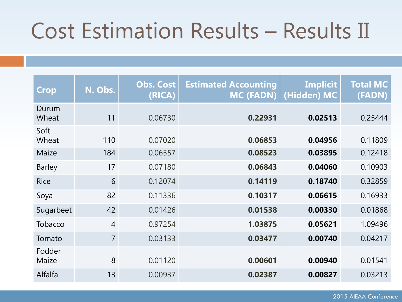### Cost Estimation Results – Results II

| <b>Crop</b>     | N. Obs.        | <b>Obs. Cost</b><br>(RICA) | <b>Estimated Accounting</b><br><b>MC (FADN)</b> | <b>Implicit</b><br>(Hidden) MC | <b>Total MC</b><br>(FADN) |
|-----------------|----------------|----------------------------|-------------------------------------------------|--------------------------------|---------------------------|
| Durum<br>Wheat  | 11             | 0.06730                    | 0.22931                                         | 0.02513                        | 0.25444                   |
| Soft<br>Wheat   | 110            | 0.07020                    | 0.06853                                         | 0.04956                        | 0.11809                   |
| Maize           | 184            | 0.06557                    | 0.08523                                         | 0.03895                        | 0.12418                   |
| <b>Barley</b>   | 17             | 0.07180                    | 0.06843                                         | 0.04060                        | 0.10903                   |
| <b>Rice</b>     | 6              | 0.12074                    | 0.14119                                         | 0.18740                        | 0.32859                   |
| Soya            | 82             | 0.11336                    | 0.10317                                         | 0.06615                        | 0.16933                   |
| Sugarbeet       | 42             | 0.01426                    | 0.01538                                         | 0.00330                        | 0.01868                   |
| Tobacco         | $\overline{4}$ | 0.97254                    | 1.03875                                         | 0.05621                        | 1.09496                   |
| Tomato          | $\overline{7}$ | 0.03133                    | 0.03477                                         | 0.00740                        | 0.04217                   |
| Fodder<br>Maize | 8              | 0.01120                    | 0.00601                                         | 0.00940                        | 0.01541                   |
| Alfalfa         | 13             | 0.00937                    | 0.02387                                         | 0.00827                        | 0.03213                   |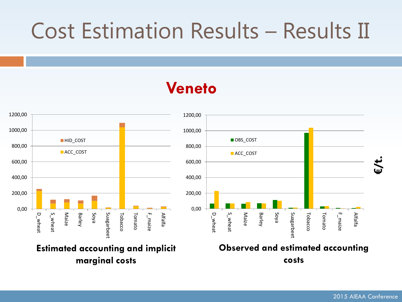### Cost Estimation Results – Results II

### **Veneto**



2015 AIEAA Conference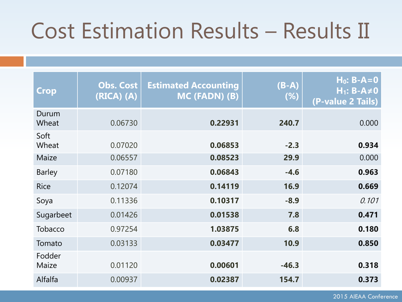### Cost Estimation Results – Results II

| <b>Crop</b>     | <b>Obs. Cost</b><br>$(RICA)$ $(A)$ | <b>Estimated Accounting</b><br>MC (FADN) (B) | $(B-A)$<br>(%) | $H_0$ : B-A=0<br>$H_1$ : B-A $\neq$ 0<br>(P-value 2 Tails) |
|-----------------|------------------------------------|----------------------------------------------|----------------|------------------------------------------------------------|
| Durum<br>Wheat  | 0.06730                            | 0.22931                                      | 240.7          | 0.000                                                      |
| Soft<br>Wheat   | 0.07020                            | 0.06853                                      | $-2.3$         | 0.934                                                      |
| Maize           | 0.06557                            | 0.08523                                      | 29.9           | 0.000                                                      |
| <b>Barley</b>   | 0.07180                            | 0.06843                                      | $-4.6$         | 0.963                                                      |
| <b>Rice</b>     | 0.12074                            | 0.14119                                      | 16.9           | 0.669                                                      |
| Soya            | 0.11336                            | 0.10317                                      | $-8.9$         | 0.101                                                      |
| Sugarbeet       | 0.01426                            | 0.01538                                      | 7.8            | 0.471                                                      |
| Tobacco         | 0.97254                            | 1.03875                                      | 6.8            | 0.180                                                      |
| Tomato          | 0.03133                            | 0.03477                                      | 10.9           | 0.850                                                      |
| Fodder<br>Maize | 0.01120                            | 0.00601                                      | $-46.3$        | 0.318                                                      |
| Alfalfa         | 0.00937                            | 0.02387                                      | 154.7          | 0.373                                                      |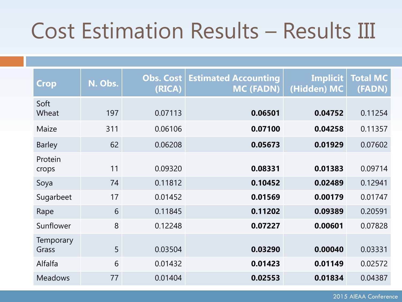### Cost Estimation Results – Results III

| <b>Crop</b>               | N. Obs. | Obs. Cost<br>(RICA) | <b>Estimated Accounting</b><br><b>MC (FADN)</b> | <b>Implicit</b><br>(Hidden) MC | <b>Total MC</b><br>(FADN) |
|---------------------------|---------|---------------------|-------------------------------------------------|--------------------------------|---------------------------|
| Soft<br>Wheat             | 197     | 0.07113             | 0.06501                                         | 0.04752                        | 0.11254                   |
| Maize                     | 311     | 0.06106             | 0.07100                                         | 0.04258                        | 0.11357                   |
| <b>Barley</b>             | 62      | 0.06208             | 0.05673                                         | 0.01929                        | 0.07602                   |
| Protein<br>crops          | 11      | 0.09320             | 0.08331                                         | 0.01383                        | 0.09714                   |
| Soya                      | 74      | 0.11812             | 0.10452                                         | 0.02489                        | 0.12941                   |
| Sugarbeet                 | 17      | 0.01452             | 0.01569                                         | 0.00179                        | 0.01747                   |
| Rape                      | 6       | 0.11845             | 0.11202                                         | 0.09389                        | 0.20591                   |
| Sunflower                 | 8       | 0.12248             | 0.07227                                         | 0.00601                        | 0.07828                   |
| <b>Temporary</b><br>Grass | 5       | 0.03504             | 0.03290                                         | 0.00040                        | 0.03331                   |
| Alfalfa                   | 6       | 0.01432             | 0.01423                                         | 0.01149                        | 0.02572                   |
| <b>Meadows</b>            | 77      | 0.01404             | 0.02553                                         | 0.01834                        | 0.04387                   |

2015 AIEAA Conference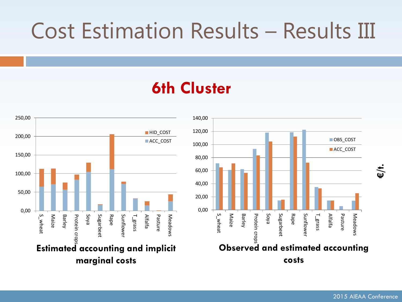### Cost Estimation Results – Results III

### **6th Cluster**





**€/t.**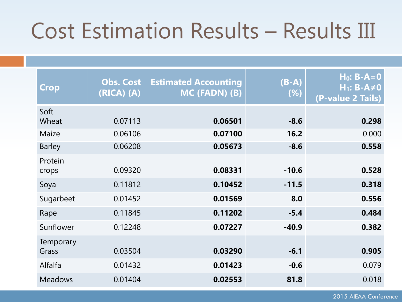### Cost Estimation Results – Results III

| <b>Crop</b>        | <b>Obs. Cost</b><br>$(RICA)$ $(A)$ | <b>Estimated Accounting</b><br>MC (FADN) (B) | $(B-A)$<br>(%) | $H_0$ : B-A=0<br>$H_1$ : B-A $\neq$ 0<br>(P-value 2 Tails) |
|--------------------|------------------------------------|----------------------------------------------|----------------|------------------------------------------------------------|
| Soft<br>Wheat      | 0.07113                            | 0.06501                                      | $-8.6$         | 0.298                                                      |
| Maize              | 0.06106                            | 0.07100                                      | 16.2           | 0.000                                                      |
| <b>Barley</b>      | 0.06208                            | 0.05673                                      | $-8.6$         | 0.558                                                      |
| Protein<br>crops   | 0.09320                            | 0.08331                                      | $-10.6$        | 0.528                                                      |
| Soya               | 0.11812                            | 0.10452                                      | $-11.5$        | 0.318                                                      |
| Sugarbeet          | 0.01452                            | 0.01569                                      | 8.0            | 0.556                                                      |
| Rape               | 0.11845                            | 0.11202                                      | $-5.4$         | 0.484                                                      |
| Sunflower          | 0.12248                            | 0.07227                                      | $-40.9$        | 0.382                                                      |
| Temporary<br>Grass | 0.03504                            | 0.03290                                      | $-6.1$         | 0.905                                                      |
| Alfalfa            | 0.01432                            | 0.01423                                      | $-0.6$         | 0.079                                                      |
| <b>Meadows</b>     | 0.01404                            | 0.02553                                      | 81.8           | 0.018                                                      |

2015 AIEAA Conference